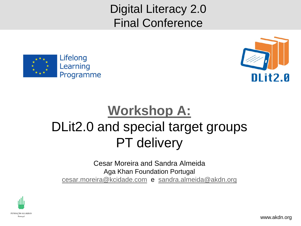Digital Literacy 2.0 Final Conference





# **[Workshop A:](http://www.digital-literacy2020.eu/content/sections/index.cfm/secid.2/secid2.24)** DLit2.0 and special target groups PT delivery

Cesar Moreira and Sandra Almeida Aga Khan Foundation Portugal [cesar.moreira@kcidade.com](mailto:cesar.moreira@kcidade.com) e [sandra.almeida@akdn.org](mailto:sandra.almeida@akdn.org)

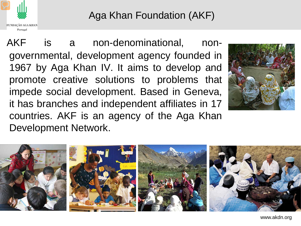

### Aga Khan Foundation (AKF)

AKF is a non-denominational, nongovernmental, development agency founded in 1967 by Aga Khan IV. It aims to develop and promote creative solutions to problems that impede social development. Based in Geneva, it has branches and independent affiliates in 17 countries. AKF is an agency of the Aga Khan Development Network.



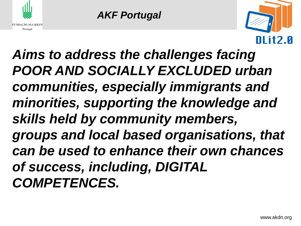

*AKF Portugal*



*Aims to address the challenges facing POOR AND SOCIALLY EXCLUDED urban communities, especially immigrants and minorities, supporting the knowledge and skills held by community members, groups and local based organisations, that can be used to enhance their own chances of success, including, DIGITAL COMPETENCES.*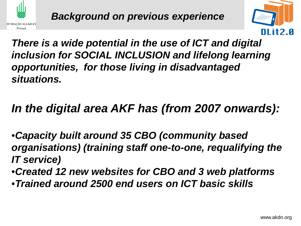



*There is a wide potential in the use of ICT and digital inclusion for SOCIAL INCLUSION and lifelong learning opportunities, for those living in disadvantaged situations.*

## *In the digital area AKF has (from 2007 onwards):*

•*Capacity built around 35 CBO (community based organisations) (training staff one-to-one, requalifying the IT service)*

•*Created 12 new websites for CBO and 3 web platforms*  •*Trained around 2500 end users on ICT basic skills*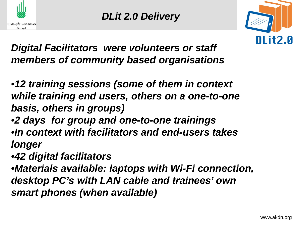



*Digital Facilitators were volunteers or staff members of community based organisations*

•*12 training sessions (some of them in context while training end users, others on a one-to-one basis, others in groups)*

- •*2 days for group and one-to-one trainings*  •*In context with facilitators and end-users takes longer*
- •*42 digital facilitators*

•*Materials available: laptops with Wi-Fi connection, desktop PC's with LAN cable and trainees' own smart phones (when available)*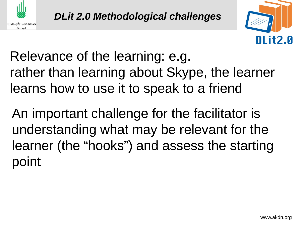



Relevance of the learning: e.g. rather than learning about Skype, the learner learns how to use it to speak to a friend

An important challenge for the facilitator is understanding what may be relevant for the learner (the "hooks") and assess the starting point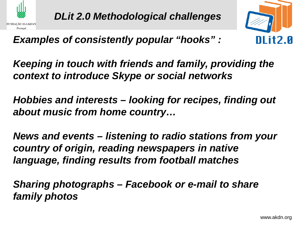



### *Examples of consistently popular "hooks" :*

*Keeping in touch with friends and family, providing the context to introduce Skype or social networks*

*Hobbies and interests – looking for recipes, finding out about music from home country…*

*News and events – listening to radio stations from your country of origin, reading newspapers in native language, finding results from football matches*

*Sharing photographs – Facebook or e-mail to share family photos*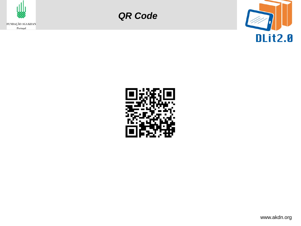

*QR Code*



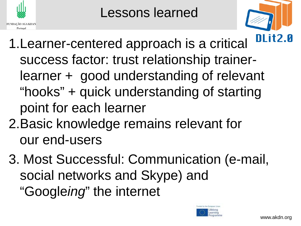

Lessons learned



- 1.Learner-centered approach is a critical success factor: trust relationship trainerlearner + good understanding of relevant "hooks" + quick understanding of starting point for each learner
- 2.Basic knowledge remains relevant for our end-users
- 3. Most Successful: Communication (e-mail, social networks and Skype) and "Google*ing*" the internet

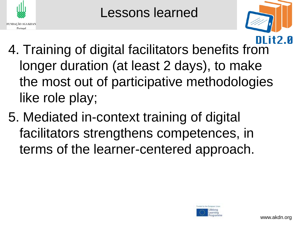

Lessons learned



- 4. Training of digital facilitators benefits from longer duration (at least 2 days), to make the most out of participative methodologies like role play;
- 5. Mediated in-context training of digital facilitators strengthens competences, in terms of the learner-centered approach.